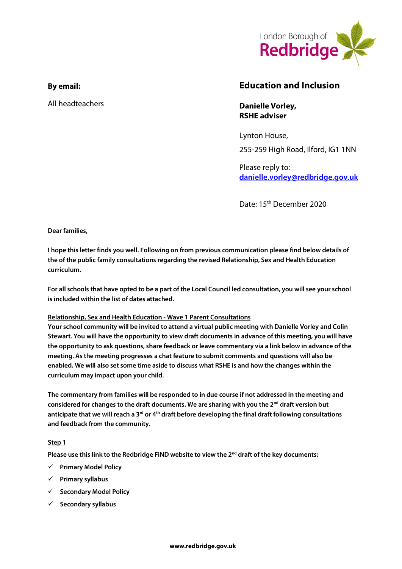

## **By email:**

All headteachers

# **Education and Inclusion**

**Danielle Vorley, RSHE adviser**

Lynton House, 255-259 High Road, Ilford, IG1 1NN

Please reply to: **[danielle.vorley@redbridge.gov.uk](mailto:danielle.vorley@redbridge.gov.uk)**

Date: 15th December 2020

**Dear families,** 

**I hope this letter finds you well. Following on from previous communication please find below details of the of the public family consultations regarding the revised Relationship, Sex and Health Education curriculum.** 

**For all schools that have opted to be a part of the Local Council led consultation, you will see your school is included within the list of dates attached.** 

#### **Relationship, Sex and Health Education - Wave 1 Parent Consultations**

**Your school community will be invited to attend a virtual public meeting with Danielle Vorley and Colin Stewart. You will have the opportunity to view draft documents in advance of this meeting, you will have the opportunity to ask questions, share feedback or leave commentary via a link below in advance of the meeting. As the meeting progresses a chat feature to submit comments and questions will also be enabled. We will also set some time aside to discuss what RSHE is and how the changes within the curriculum may impact upon your child.** 

**The commentary from families will be responded to in due course if not addressed in the meeting and considered for changes to the draft documents. We are sharing with you the 2nd draft version but anticipate that we will reach a 3rd or 4th draft before developing the final draft following consultations and feedback from the community.** 

#### **Step 1**

**Please use this link to the Redbridge FiND website to view the 2nd draft of the key documents;**

- **Primary Model Policy**
- **Primary syllabus**
- **Secondary Model Policy**
- **Secondary syllabus**